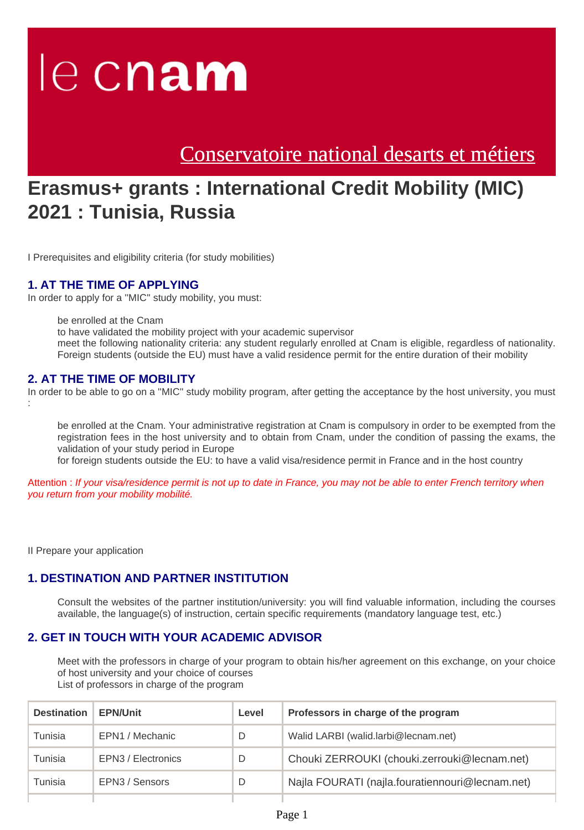# le cnam

[Conservatoire national desarts et métiers](https://www.cnam.eu/)

# **Erasmus+ grants : International Credit Mobility (MIC) 2021 : Tunisia, Russia**

I Prerequisites and eligibility criteria (for study mobilities)

#### **1. AT THE TIME OF APPLYING**

In order to apply for a ''MIC'' study mobility, you must:

be enrolled at the Cnam

to have validated the mobility project with your academic supervisor

meet the following nationality criteria: any student regularly enrolled at Cnam is eligible, regardless of nationality. Foreign students (outside the EU) must have a valid residence permit for the entire duration of their mobility

#### **2. AT THE TIME OF MOBILITY**

In order to be able to go on a ''MIC'' study mobility program, after getting the acceptance by the host university, you must :

be enrolled at the Cnam. Your administrative registration at Cnam is compulsory in order to be exempted from the registration fees in the host university and to obtain from Cnam, under the condition of passing the exams, the validation of your study period in Europe

for foreign students outside the EU: to have a valid visa/residence permit in France and in the host country

Attention : If your visa/residence permit is not up to date in France, you may not be able to enter French territory when you return from your mobility mobilité.

II Prepare your application

#### **1. DESTINATION AND PARTNER INSTITUTION**

Consult the websites of the partner institution/university: you will find valuable information, including the courses available, the language(s) of instruction, certain specific requirements (mandatory language test, etc.)

#### **2. GET IN TOUCH WITH YOUR ACADEMIC ADVISOR**

Meet with the professors in charge of your program to obtain his/her agreement on this exchange, on your choice of host university and your choice of courses List of professors in charge of the program

| <b>Destination</b> | <b>EPN/Unit</b>    | Level | Professors in charge of the program             |
|--------------------|--------------------|-------|-------------------------------------------------|
| Tunisia            | EPN1 / Mechanic    | D     | Walid LARBI (walid.larbi@lecnam.net)            |
| Tunisia            | EPN3 / Electronics | D     | Chouki ZERROUKI (chouki.zerrouki@lecnam.net)    |
| Tunisia            | EPN3 / Sensors     | D     | Najla FOURATI (najla.fouratiennouri@lecnam.net) |
|                    |                    |       |                                                 |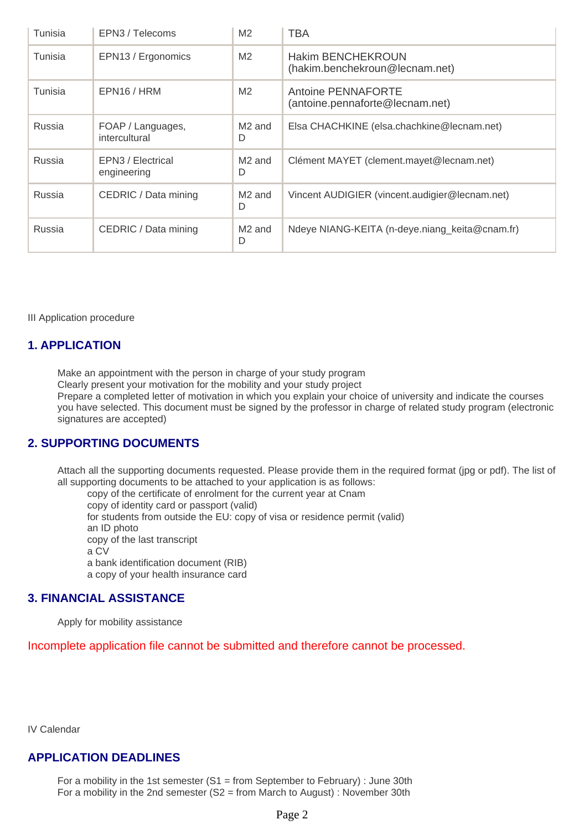| Tunisia | EPN3 / Telecoms                    | M <sub>2</sub>          | <b>TBA</b>                                                 |
|---------|------------------------------------|-------------------------|------------------------------------------------------------|
| Tunisia | EPN13 / Ergonomics                 | M <sub>2</sub>          | <b>Hakim BENCHEKROUN</b><br>(hakim.benchekroun@lecnam.net) |
| Tunisia | EPN16/HRM                          | M <sub>2</sub>          | Antoine PENNAFORTE<br>(antoine.pennaforte@lecnam.net)      |
| Russia  | FOAP / Languages,<br>intercultural | M <sub>2</sub> and<br>D | Elsa CHACHKINE (elsa.chachkine@lecnam.net)                 |
| Russia  | EPN3 / Electrical<br>engineering   | M <sub>2</sub> and<br>D | Clément MAYET (clement.mayet@lecnam.net)                   |
| Russia  | CEDRIC / Data mining               | M <sub>2</sub> and<br>D | Vincent AUDIGIER (vincent.audigier@lecnam.net)             |
| Russia  | CEDRIC / Data mining               | M <sub>2</sub> and<br>D | Ndeye NIANG-KEITA (n-deye.niang_keita@cnam.fr)             |

III Application procedure

#### **1. APPLICATION**

Make an appointment with the person in charge of your study program Clearly present your motivation for the mobility and your study project Prepare a completed letter of motivation in which you explain your choice of university and indicate the courses you have selected. This document must be signed by the professor in charge of related study program (electronic signatures are accepted)

#### **2. SUPPORTING DOCUMENTS**

Attach all the supporting documents requested. Please provide them in the required format (jpg or pdf). The list of all supporting documents to be attached to your application is as follows:

copy of the certificate of enrolment for the current year at Cnam copy of identity card or passport (valid) for students from outside the EU: copy of visa or residence permit (valid) an ID photo copy of the last transcript a CV a bank identification document (RIB) a copy of your health insurance card

#### **3. FINANCIAL ASSISTANCE**

Apply for mobility assistance

Incomplete application file cannot be submitted and therefore cannot be processed.

IV Calendar

#### **APPLICATION DEADLINES**

For a mobility in the 1st semester  $(S1 = from September to February)$ : June 30th For a mobility in the 2nd semester (S2 = from March to August) : November 30th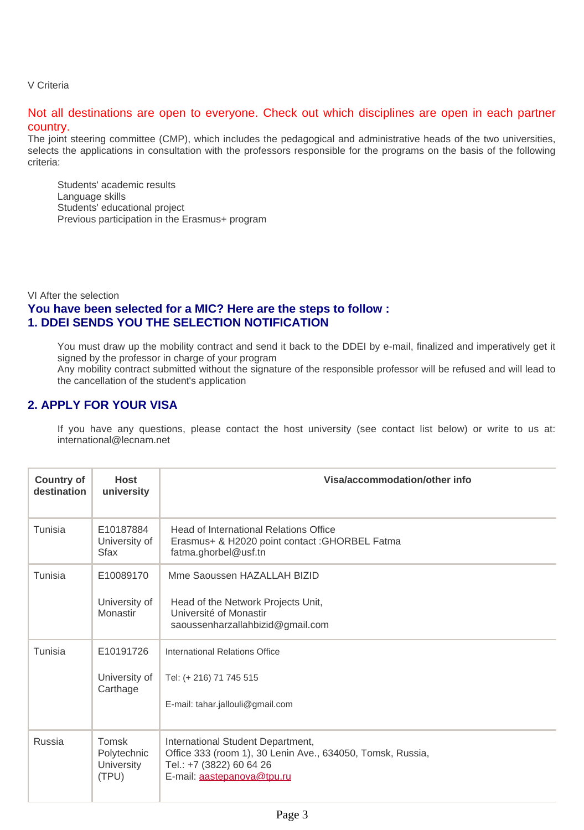V Criteria

Not all destinations are open to everyone. Check out which disciplines are open in each partner country.

The joint steering committee (CMP), which includes the pedagogical and administrative heads of the two universities, selects the applications in consultation with the professors responsible for the programs on the basis of the following criteria:

Students' academic results Language skills Students' educational project Previous participation in the Erasmus+ program

VI After the selection **You have been selected for a MIC? Here are the steps to follow : 1. DDEI SENDS YOU THE SELECTION NOTIFICATION**

You must draw up the mobility contract and send it back to the DDEI by e-mail, finalized and imperatively get it signed by the professor in charge of your program

Any mobility contract submitted without the signature of the responsible professor will be refused and will lead to the cancellation of the student's application

#### **2. APPLY FOR YOUR VISA**

If you have any questions, please contact the host university (see contact list below) or write to us at: international@lecnam.net

| <b>Country of</b><br>destination | <b>Host</b><br>university                                 | Visa/accommodation/other info                                                                                                                             |  |
|----------------------------------|-----------------------------------------------------------|-----------------------------------------------------------------------------------------------------------------------------------------------------------|--|
| Tunisia                          | E10187884<br>University of<br><b>Sfax</b>                 | <b>Head of International Relations Office</b><br>Erasmus+ & H2020 point contact : GHORBEL Fatma<br>fatma.ghorbel@usf.tn                                   |  |
| Tunisia                          | E10089170<br>University of<br>Monastir                    | Mme Saoussen HAZALLAH BIZID<br>Head of the Network Projects Unit,<br>Université of Monastir<br>saoussenharzallahbizid@gmail.com                           |  |
| Tunisia                          | E10191726<br>University of<br>Carthage                    | International Relations Office<br>Tel: (+ 216) 71 745 515<br>E-mail: tahar.jallouli@gmail.com                                                             |  |
| Russia                           | <b>Tomsk</b><br>Polytechnic<br><b>University</b><br>(TPU) | International Student Department,<br>Office 333 (room 1), 30 Lenin Ave., 634050, Tomsk, Russia,<br>Tel.: +7 (3822) 60 64 26<br>E-mail: aastepanova@tpu.ru |  |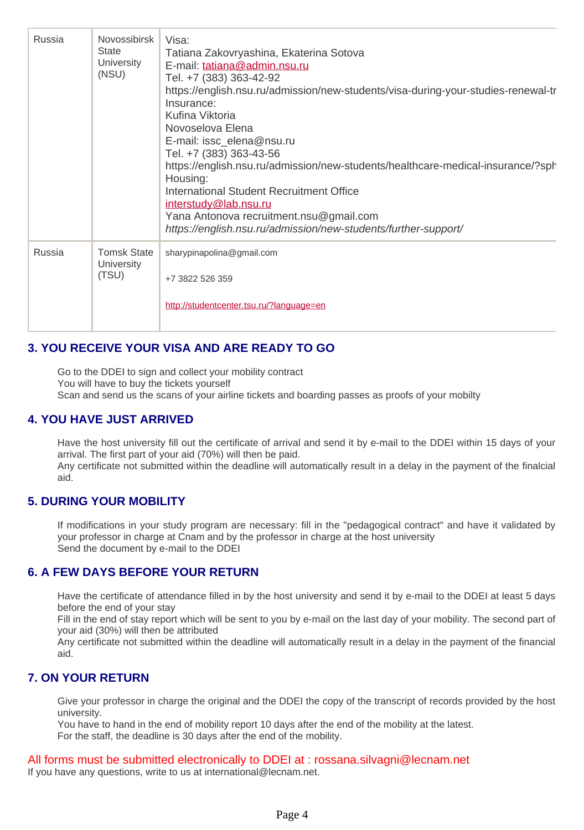| Russia | <b>Novossibirsk</b><br>State<br>University<br>(NSU) | Visa:<br>Tatiana Zakovryashina, Ekaterina Sotova<br>E-mail: tatiana@admin.nsu.ru<br>Tel. +7 (383) 363-42-92<br>https://english.nsu.ru/admission/new-students/visa-during-your-studies-renewal-tr<br>Insurance:<br>Kufina Viktoria<br>Novoselova Elena<br>E-mail: issc_elena@nsu.ru<br>Tel. +7 (383) 363-43-56<br>https://english.nsu.ru/admission/new-students/healthcare-medical-insurance/?sph<br>Housing:<br>International Student Recruitment Office<br>interstudy@lab.nsu.ru<br>Yana Antonova recruitment.nsu@gmail.com<br>https://english.nsu.ru/admission/new-students/further-support/ |
|--------|-----------------------------------------------------|------------------------------------------------------------------------------------------------------------------------------------------------------------------------------------------------------------------------------------------------------------------------------------------------------------------------------------------------------------------------------------------------------------------------------------------------------------------------------------------------------------------------------------------------------------------------------------------------|
| Russia | <b>Tomsk State</b><br>University<br>(TSU)           | sharypinapolina@gmail.com<br>+7 3822 526 359<br>http://studentcenter.tsu.ru/?language=en                                                                                                                                                                                                                                                                                                                                                                                                                                                                                                       |

## **3. YOU RECEIVE YOUR VISA AND ARE READY TO GO**

Go to the DDEI to sign and collect your mobility contract You will have to buy the tickets yourself Scan and send us the scans of your airline tickets and boarding passes as proofs of your mobilty

### **4. YOU HAVE JUST ARRIVED**

Have the host university fill out the certificate of arrival and send it by e-mail to the DDEI within 15 days of your arrival. The first part of your aid (70%) will then be paid.

Any certificate not submitted within the deadline will automatically result in a delay in the payment of the finalcial aid.

#### **5. DURING YOUR MOBILITY**

If modifications in your study program are necessary: fill in the "pedagogical contract" and have it validated by your professor in charge at Cnam and by the professor in charge at the host university Send the document by e-mail to the DDEI

#### **6. A FEW DAYS BEFORE YOUR RETURN**

Have the certificate of attendance filled in by the host university and send it by e-mail to the DDEI at least 5 days before the end of your stay

Fill in the end of stay report which will be sent to you by e-mail on the last day of your mobility. The second part of your aid (30%) will then be attributed

Any certificate not submitted within the deadline will automatically result in a delay in the payment of the financial aid.

#### **7. ON YOUR RETURN**

Give your professor in charge the original and the DDEI the copy of the transcript of records provided by the host university.

You have to hand in the end of mobility report 10 days after the end of the mobility at the latest. For the staff, the deadline is 30 days after the end of the mobility.

All forms must be submitted electronically to DDEI at : rossana.silvagni@lecnam.net If you have any questions, write to us at international@lecnam.net.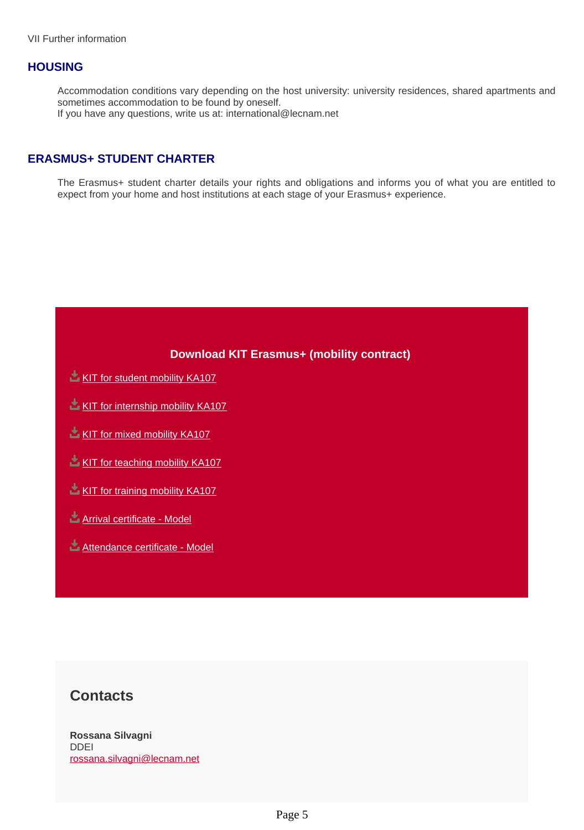#### **HOUSING**

Accommodation conditions vary depending on the host university: university residences, shared apartments and sometimes accommodation to be found by oneself. If you have any questions, write us at: international@lecnam.net

#### **ERASMUS+ STUDENT CHARTER**

The Erasmus+ student charter details your rights and obligations and informs you of what you are entitled to expect from your home and host institutions at each stage of your Erasmus+ experience.

#### **Download KIT Erasmus+ (mobility contract)**

- **[KIT for student mobility KA107](https://www.cnam.eu/medias/fichier/kit-de-mobilite-detudes-ka107-2020_1620826842314-docx?ID_FICHE=1222106&INLINE=FALSE)**
- [KIT for internship mobility KA107](https://www.cnam.eu/medias/fichier/kit-de-mobilite-de-stage-ka107-2020_1620827089102-docx?ID_FICHE=1222106&INLINE=FALSE)
- [KIT for mixed mobility KA107](https://www.cnam.eu/medias/fichier/kit-de-mobilite-combinee-ka107-2020_1620827173579-docx?ID_FICHE=1222106&INLINE=FALSE)
- [KIT for teaching mobility KA107](https://www.cnam.eu/medias/fichier/kit-de-mobilite-denseignement-ka107-2020_1620827276765-docx?ID_FICHE=1222106&INLINE=FALSE)
- [KIT for training mobility KA107](https://www.cnam.eu/medias/fichier/kit-de-mobilite-de-formation-ka107-2020_1620826604834-docx?ID_FICHE=1222106&INLINE=FALSE)
- **[Arrival certificate Model](https://www.cnam.eu/medias/fichier/210512-attestation-arrivee-etudiants-sortants-mic-21-22_1620832816480-docx?ID_FICHE=1222106&INLINE=FALSE)**
- [Attendance certificate Model](https://www.cnam.eu/medias/fichier/210512-attestation-de-presence-etudiants-sortants_1620832834854-doc?ID_FICHE=1222106&INLINE=FALSE)

# **Contacts**

**Rossana Silvagni** DDEI rossana.silvagni@lecnam.net